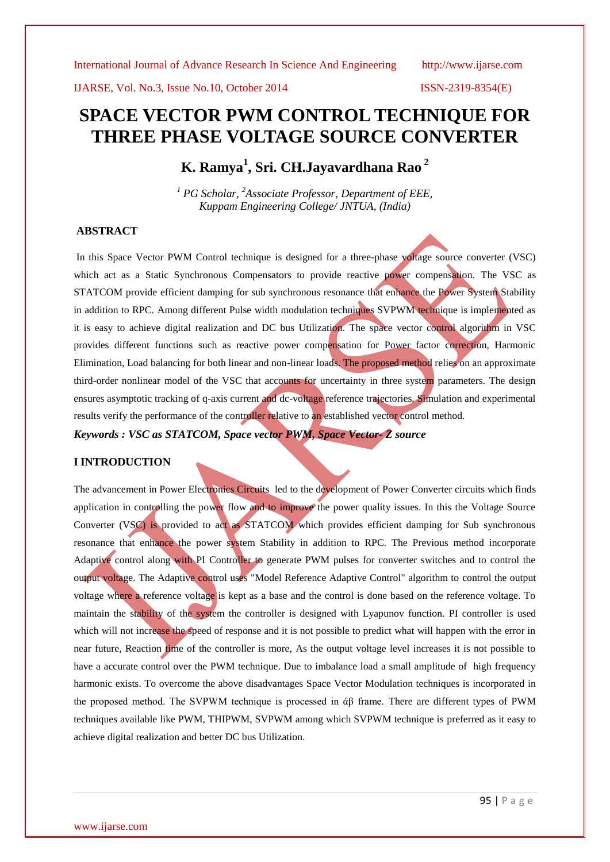IJARSE, Vol. No.3, Issue No.10, October 2014 ISSN-2319-8354(E)

# **SPACE VECTOR PWM CONTROL TECHNIQUE FOR THREE PHASE VOLTAGE SOURCE CONVERTER**

**K. Ramya<sup>1</sup> , Sri. CH.Jayavardhana Rao <sup>2</sup>**

*<sup>1</sup> PG Scholar, <sup>2</sup>Associate Professor, Department of EEE, Kuppam Engineering College/ JNTUA, (India)*

### **ABSTRACT**

In this Space Vector PWM Control technique is designed for a three-phase voltage source converter (VSC) which act as a Static Synchronous Compensators to provide reactive power compensation. The VSC as STATCOM provide efficient damping for sub synchronous resonance that enhance the Power System Stability in addition to RPC. Among different Pulse width modulation techniques SVPWM technique is implemented as it is easy to achieve digital realization and DC bus Utilization. The space vector control algorithm in VSC provides different functions such as reactive power compensation for Power factor correction, Harmonic Elimination, Load balancing for both linear and non-linear loads. The proposed method relies on an approximate third-order nonlinear model of the VSC that accounts for uncertainty in three system parameters. The design ensures asymptotic tracking of q-axis current and dc-voltage reference trajectories. Simulation and experimental results verify the performance of the controller relative to an established vector control method.

*Keywords : VSC as STATCOM, Space vector PWM, Space Vector- Z source*

### **I INTRODUCTION**

The advancement in Power Electronics Circuits led to the development of Power Converter circuits which finds application in controlling the power flow and to improve the power quality issues. In this the Voltage Source Converter (VSC) is provided to act as STATCOM which provides efficient damping for Sub synchronous resonance that enhance the power system Stability in addition to RPC. The Previous method incorporate Adaptive control along with PI Controller to generate PWM pulses for converter switches and to control the output voltage. The Adaptive control uses "Model Reference Adaptive Control" algorithm to control the output voltage where a reference voltage is kept as a base and the control is done based on the reference voltage. To maintain the stability of the system the controller is designed with Lyapunov function. PI controller is used which will not increase the speed of response and it is not possible to predict what will happen with the error in near future, Reaction time of the controller is more, As the output voltage level increases it is not possible to have a accurate control over the PWM technique. Due to imbalance load a small amplitude of high frequency harmonic exists. To overcome the above disadvantages Space Vector Modulation techniques is incorporated in the proposed method. The SVPWM technique is processed in άβ frame. There are different types of PWM techniques available like PWM, THIPWM, SVPWM among which SVPWM technique is preferred as it easy to achieve digital realization and better DC bus Utilization.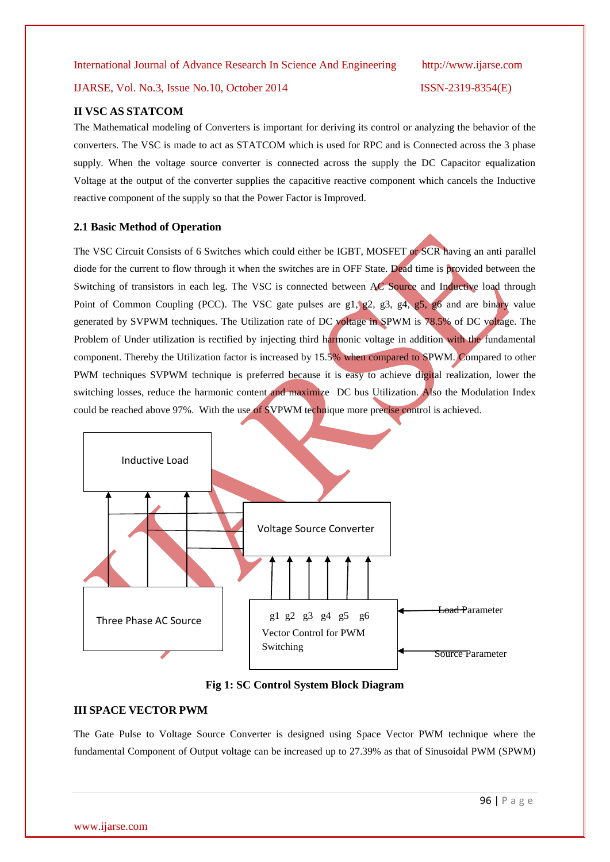### IJARSE, Vol. No.3, Issue No.10, October 2014 ISSN-2319-8354(E)

#### **II VSC AS STATCOM**

The Mathematical modeling of Converters is important for deriving its control or analyzing the behavior of the converters. The VSC is made to act as STATCOM which is used for RPC and is Connected across the 3 phase supply. When the voltage source converter is connected across the supply the DC Capacitor equalization Voltage at the output of the converter supplies the capacitive reactive component which cancels the Inductive reactive component of the supply so that the Power Factor is Improved.

#### **2.1 Basic Method of Operation**

The VSC Circuit Consists of 6 Switches which could either be IGBT, MOSFET or SCR having an anti parallel diode for the current to flow through it when the switches are in OFF State. Dead time is provided between the Switching of transistors in each leg. The VSC is connected between AC Source and Inductive load through Point of Common Coupling (PCC). The VSC gate pulses are g1, g2, g3, g4, g5, g6 and are binary value generated by SVPWM techniques. The Utilization rate of DC voltage in SPWM is 78.5% of DC voltage. The Problem of Under utilization is rectified by injecting third harmonic voltage in addition with the fundamental component. Thereby the Utilization factor is increased by 15.5% when compared to SPWM. Compared to other PWM techniques SVPWM technique is preferred because it is easy to achieve digital realization, lower the switching losses, reduce the harmonic content and maximize DC bus Utilization. Also the Modulation Index could be reached above 97%. With the use of SVPWM technique more precise control is achieved.



**Fig 1: SC Control System Block Diagram**

#### **III SPACE VECTOR PWM**

The Gate Pulse to Voltage Source Converter is designed using Space Vector PWM technique where the fundamental Component of Output voltage can be increased up to 27.39% as that of Sinusoidal PWM (SPWM)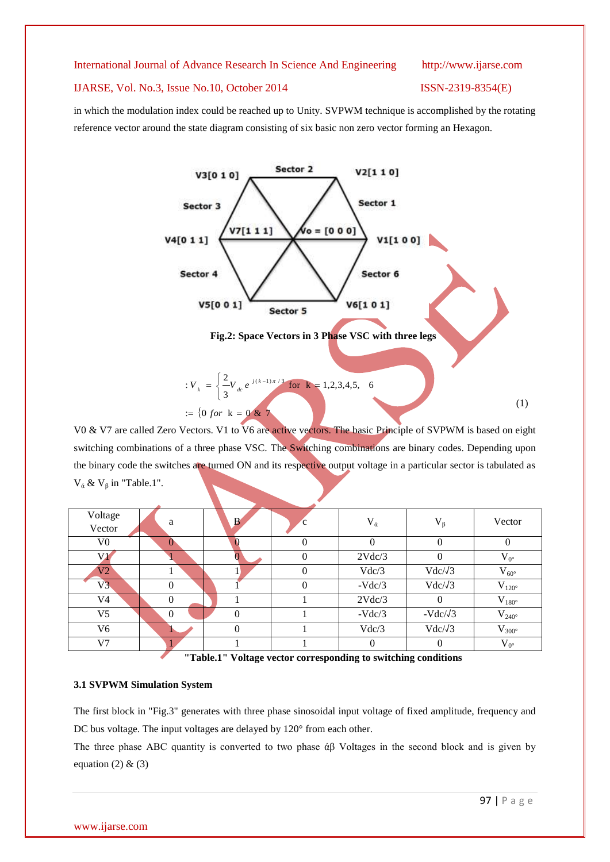#### IJARSE, Vol. No.3, Issue No.10, October 2014 ISSN-2319-8354(E)

in which the modulation index could be reached up to Unity. SVPWM technique is accomplished by the rotating reference vector around the state diagram consisting of six basic non zero vector forming an Hexagon.



V0 & V7 are called Zero Vectors. V1 to V6 are active vectors. The basic Principle of SVPWM is based on eight switching combinations of a three phase VSC. The Switching combinations are binary codes. Depending upon the binary code the switches are turned ON and its respective output voltage in a particular sector is tabulated as  $V_{\alpha}$  &  $V_{\beta}$  in "Table.1".

| Voltage<br>Vector | a              | $\mathbf{B}$   | <sub>c</sub> | $V_{\dot{\alpha}}$ | $V_{\beta}$     | Vector              |
|-------------------|----------------|----------------|--------------|--------------------|-----------------|---------------------|
| V <sub>0</sub>    | v              | $\mathbf{0}$   | 0            | 0                  | 0               | 0                   |
| V1                |                |                |              | 2Vdc/3             | $\left($        | $V_{0^{\circ}}$     |
| $V2^+$            |                |                |              | Vdc/3              | $Vdc/\sqrt{3}$  | $V_{60^{\circ}}$    |
| V3                | 0              |                |              | $-Vdc/3$           | $Vdc/\sqrt{3}$  | $V_{120^{\circ}}$   |
| V <sub>4</sub>    | $\theta$       |                |              | 2Vdc/3             | $\Omega$        | $\rm V_{180^\circ}$ |
| V <sub>5</sub>    | $\overline{0}$ | $\theta$       |              | $-Vdc/3$           | $-Vdc/\sqrt{3}$ | $V_{240^\circ}$     |
| V <sub>6</sub>    |                | $\overline{0}$ |              | Vdc/3              | $Vdc/\sqrt{3}$  | $V_{300^{\circ}}$   |
| V <sub>7</sub>    |                |                |              | $\Omega$           | $\Omega$        | $V_{0^{\circ}}$     |
|                   |                |                |              |                    |                 |                     |

**"Table.1" Voltage vector corresponding to switching conditions**

### **3.1 SVPWM Simulation System**

The first block in "Fig.3" generates with three phase sinosoidal input voltage of fixed amplitude, frequency and DC bus voltage. The input voltages are delayed by 120° from each other.

The three phase ABC quantity is converted to two phase  $\alpha\beta$  Voltages in the second block and is given by equation (2)  $\&$  (3)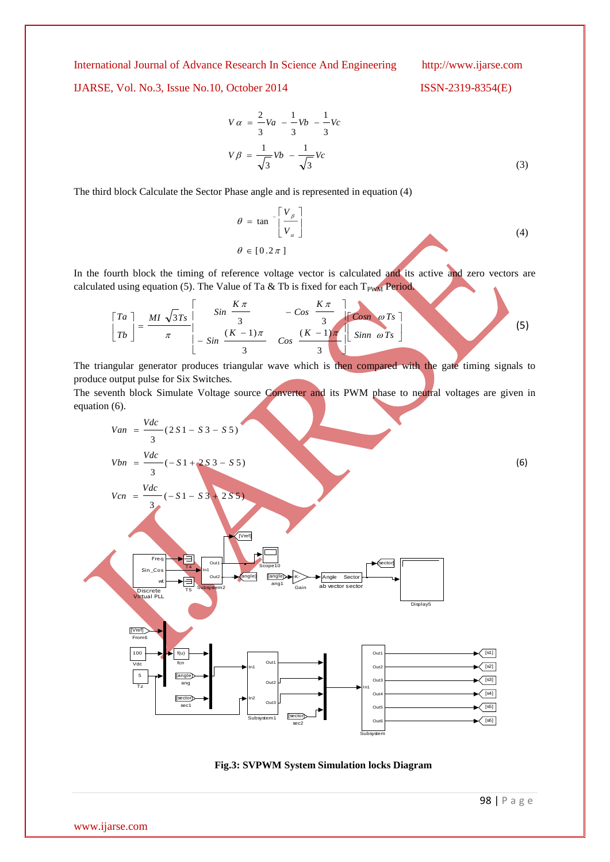IJARSE, Vol. No.3, Issue No.10, October 2014 ISSN-2319-8354(E)

(3)

$$
V\alpha = \frac{2}{3}Va - \frac{1}{3}Vb - \frac{1}{3}Vc
$$

$$
V\beta = \frac{1}{\sqrt{3}}Vb - \frac{1}{\sqrt{3}}Vc
$$

The third block Calculate the Sector Phase angle and is represented in equation (4)

$$
\theta = \tan^{-1} \left[ \frac{V_{\beta}}{V_{\alpha}} \right]
$$
  
\n
$$
\theta \in [0.2 \pi]
$$
\n(4)

In the fourth block the timing of reference voltage vector is calculated and its active and zero vectors are calculated using equation (5). The Value of Ta & Tb is fixed for each  $T_{PWM}$  Period.

$$
\begin{bmatrix} Ta \\ Tb \end{bmatrix} = \frac{MI \sqrt{3}Ts}{\pi} \begin{bmatrix} Sin \frac{K\pi}{3} & -Cos \frac{K\pi}{3} \\ -Sin \frac{(K-1)\pi}{3} & Cos \frac{(K-1)\pi}{3} \end{bmatrix} \begin{bmatrix} Cosn \omega Ts \\ Sim \omega Ts \end{bmatrix}
$$
 (5)

The triangular generator produces triangular wave which is then compared with the gate timing signals to produce output pulse for Six Switches.

The seventh block Simulate Voltage source Converter and its PWM phase to neutral voltages are given in equation (6).

$$
Van = \frac{Vdc}{3} (2 S1 - S3 - S5)
$$
\n
$$
Vbn = \frac{Vdc}{3} (-S1 + 2 S3 - S5)
$$
\n
$$
Vcn = \frac{Vdc}{3} (-S1 - S3 + 2 S5)
$$
\n
$$
\frac{Vcm}{3}
$$
\n
$$
\frac{Fra}{3}
$$
\n
$$
\frac{Fra}{3}
$$
\n
$$
\frac{Fra}{3}
$$
\n
$$
\frac{Fra}{3}
$$
\n
$$
\frac{Fra}{3}
$$
\n
$$
\frac{Fra}{3}
$$
\n
$$
\frac{Fra}{3}
$$
\n
$$
\frac{Fra}{3}
$$
\n
$$
\frac{Fra}{3}
$$
\n
$$
\frac{Fra}{3}
$$
\n
$$
\frac{Fra}{3}
$$
\n
$$
\frac{Fra}{3}
$$
\n
$$
\frac{Fra}{3}
$$
\n
$$
\frac{Fra}{3}
$$
\n
$$
\frac{Fra}{3}
$$
\n
$$
\frac{Fra}{3}
$$
\n
$$
\frac{Fra}{3}
$$
\n
$$
\frac{Fra}{3}
$$
\n
$$
\frac{Fra}{3}
$$
\n
$$
\frac{Fra}{3}
$$
\n
$$
\frac{Fra}{3}
$$
\n
$$
\frac{Fra}{3}
$$
\n
$$
\frac{Fra}{3}
$$
\n
$$
\frac{Fra}{3}
$$
\n
$$
\frac{Fra}{3}
$$
\n
$$
\frac{Fra}{3}
$$
\n
$$
\frac{Fra}{3}
$$
\n
$$
\frac{Fra}{3}
$$
\n
$$
\frac{Fra}{3}
$$
\n
$$
\frac{Fra}{3}
$$
\n
$$
\frac{Fra}{3}
$$
\n
$$
\frac{Fra}{3}
$$
\n
$$
\frac{Fra}{3}
$$
\n
$$
\frac{Fra}{3}
$$
\n
$$
\frac{Fra}{3}
$$
\n
$$
\frac{Fra}{3}
$$
\n
$$
\frac{Fra}{3}
$$
\n
$$
\frac{Fra}{3}
$$
\n
$$
\frac{Fra}{3}
$$
\n
$$
\frac{Fra}{3}
$$
\n
$$
\frac{Fra}{3}
$$
\

**Fig.3: SVPWM System Simulation locks Diagram**

www.ijarse.com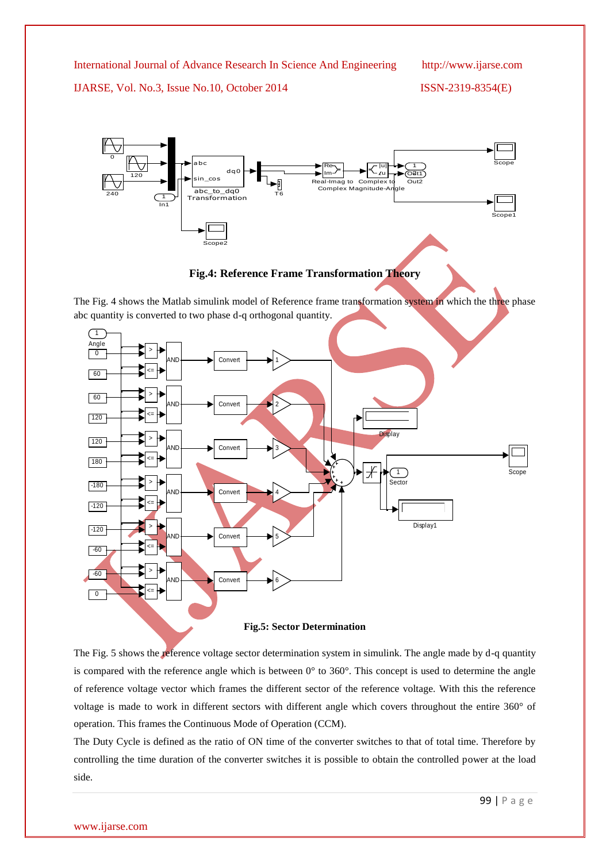IJARSE, Vol. No.3, Issue No.10, October 2014 ISSN-2319-8354(E)



**Fig.4: Reference Frame Transformation Theory**

The Fig. 4 shows the Matlab simulink model of Reference frame transformation system in which the three phase abc quantity is converted to two phase d-q orthogonal quantity.



**Fig.5: Sector Determination**

The Fig. 5 shows the reference voltage sector determination system in simulink. The angle made by d-q quantity is compared with the reference angle which is between 0° to 360°. This concept is used to determine the angle of reference voltage vector which frames the different sector of the reference voltage. With this the reference voltage is made to work in different sectors with different angle which covers throughout the entire 360° of operation. This frames the Continuous Mode of Operation (CCM).

The Duty Cycle is defined as the ratio of ON time of the converter switches to that of total time. Therefore by controlling the time duration of the converter switches it is possible to obtain the controlled power at the load side.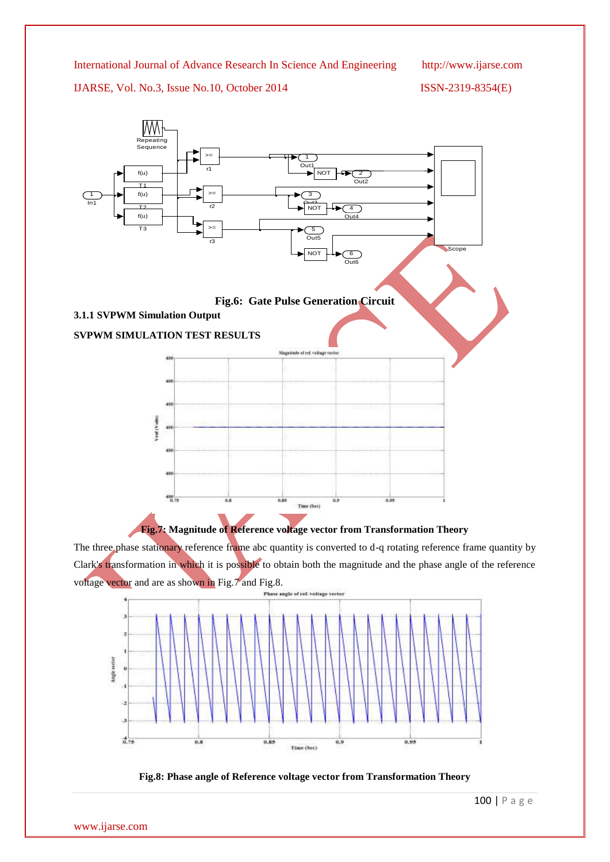IJARSE, Vol. No.3, Issue No.10, October 2014 ISSN-2319-8354(E)





The three phase stationary reference frame abc quantity is converted to d-q rotating reference frame quantity by Clark's transformation in which it is possible to obtain both the magnitude and the phase angle of the reference voltage vector and are as shown in Fig.7 and Fig.8.



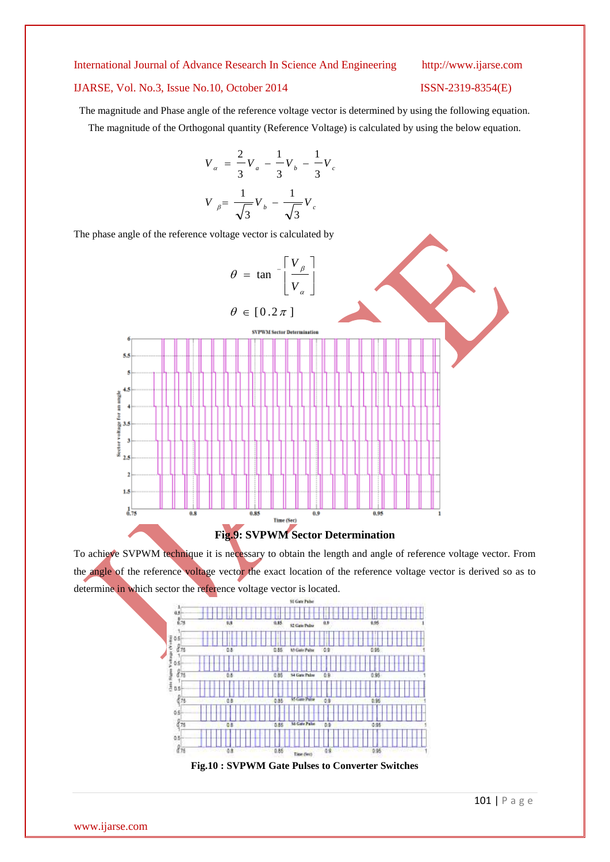#### IJARSE, Vol. No.3, Issue No.10, October 2014 ISSN-2319-8354(E)

The magnitude and Phase angle of the reference voltage vector is determined by using the following equation. The magnitude of the Orthogonal quantity (Reference Voltage) is calculated by using the below equation.

$$
V_{\alpha} = \frac{2}{3}V_{a} - \frac{1}{3}V_{b} - \frac{1}{3}V_{c}
$$

$$
V_{\beta} = \frac{1}{\sqrt{3}}V_{b} - \frac{1}{\sqrt{3}}V_{c}
$$

The phase angle of the reference voltage vector is calculated by



To achieve SVPWM technique it is necessary to obtain the length and angle of reference voltage vector. From the angle of the reference voltage vector the exact location of the reference voltage vector is derived so as to determine in which sector the reference voltage vector is located.



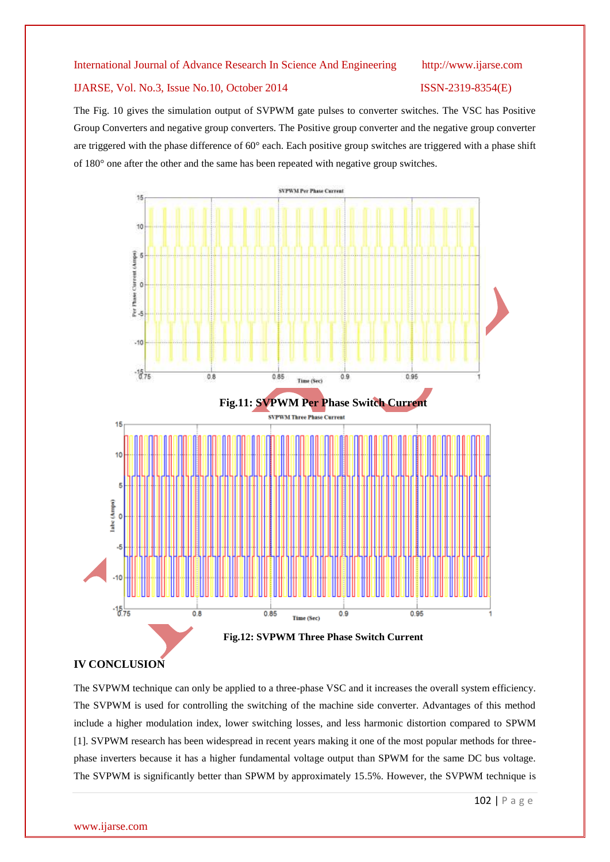#### IJARSE, Vol. No.3, Issue No.10, October 2014 ISSN-2319-8354(E)

The Fig. 10 gives the simulation output of SVPWM gate pulses to converter switches. The VSC has Positive Group Converters and negative group converters. The Positive group converter and the negative group converter are triggered with the phase difference of 60° each. Each positive group switches are triggered with a phase shift of 180° one after the other and the same has been repeated with negative group switches.



### **IV CONCLUSION**

The SVPWM technique can only be applied to a three-phase VSC and it increases the overall system efficiency. The SVPWM is used for controlling the switching of the machine side converter. Advantages of this method include a higher modulation index, lower switching losses, and less harmonic distortion compared to SPWM [1]. SVPWM research has been widespread in recent years making it one of the most popular methods for threephase inverters because it has a higher fundamental voltage output than SPWM for the same DC bus voltage. The SVPWM is significantly better than SPWM by approximately 15.5%. However, the SVPWM technique is